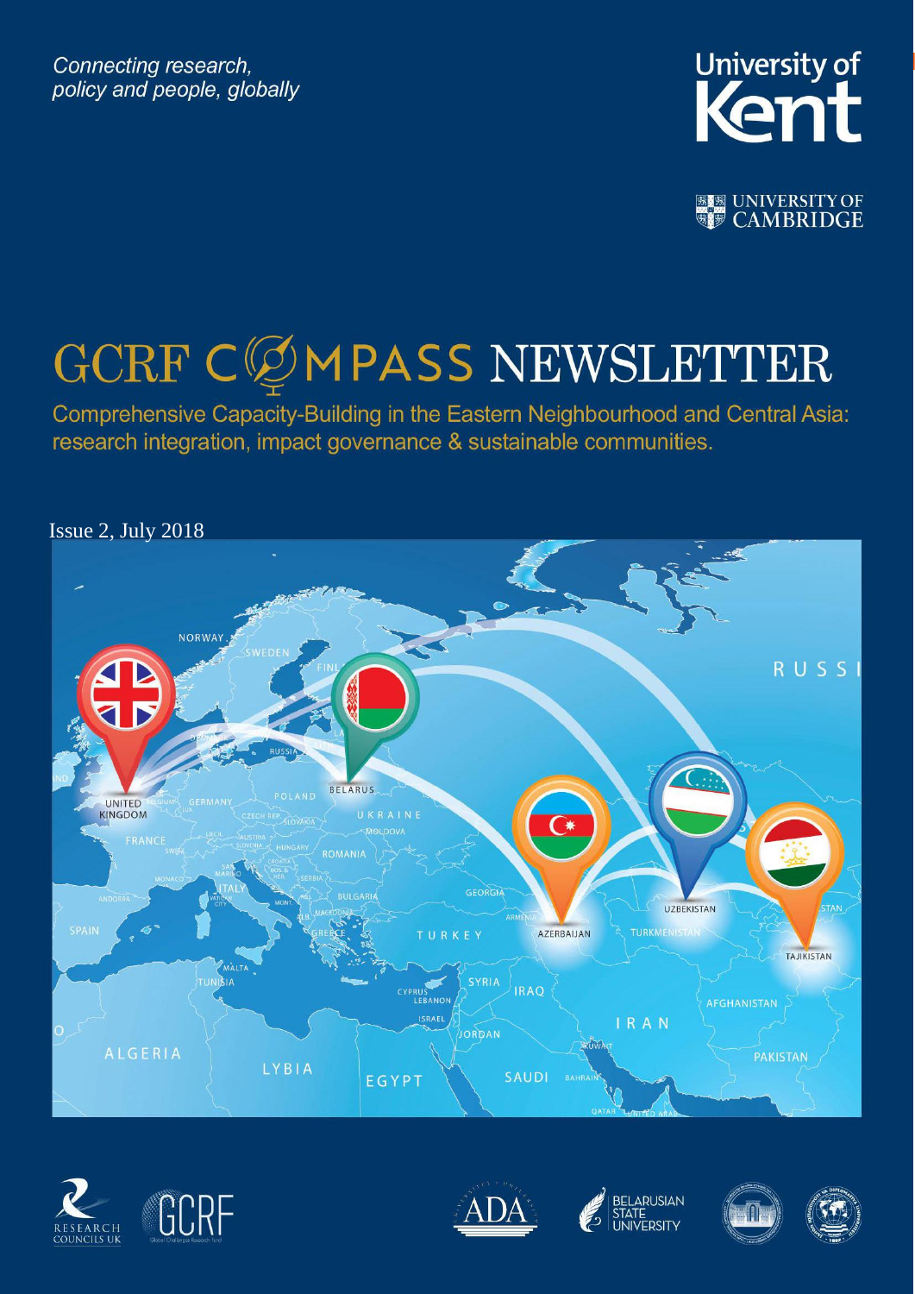Connecting research, policy and people, globally



**图图 UNIVERSITY OF** 

# GCRF CØMPASS NEWSLETTER

Comprehensive Capacity-Building in the Eastern Neighbourhood and Central Asia: research integration, impact governance & sustainable communities.











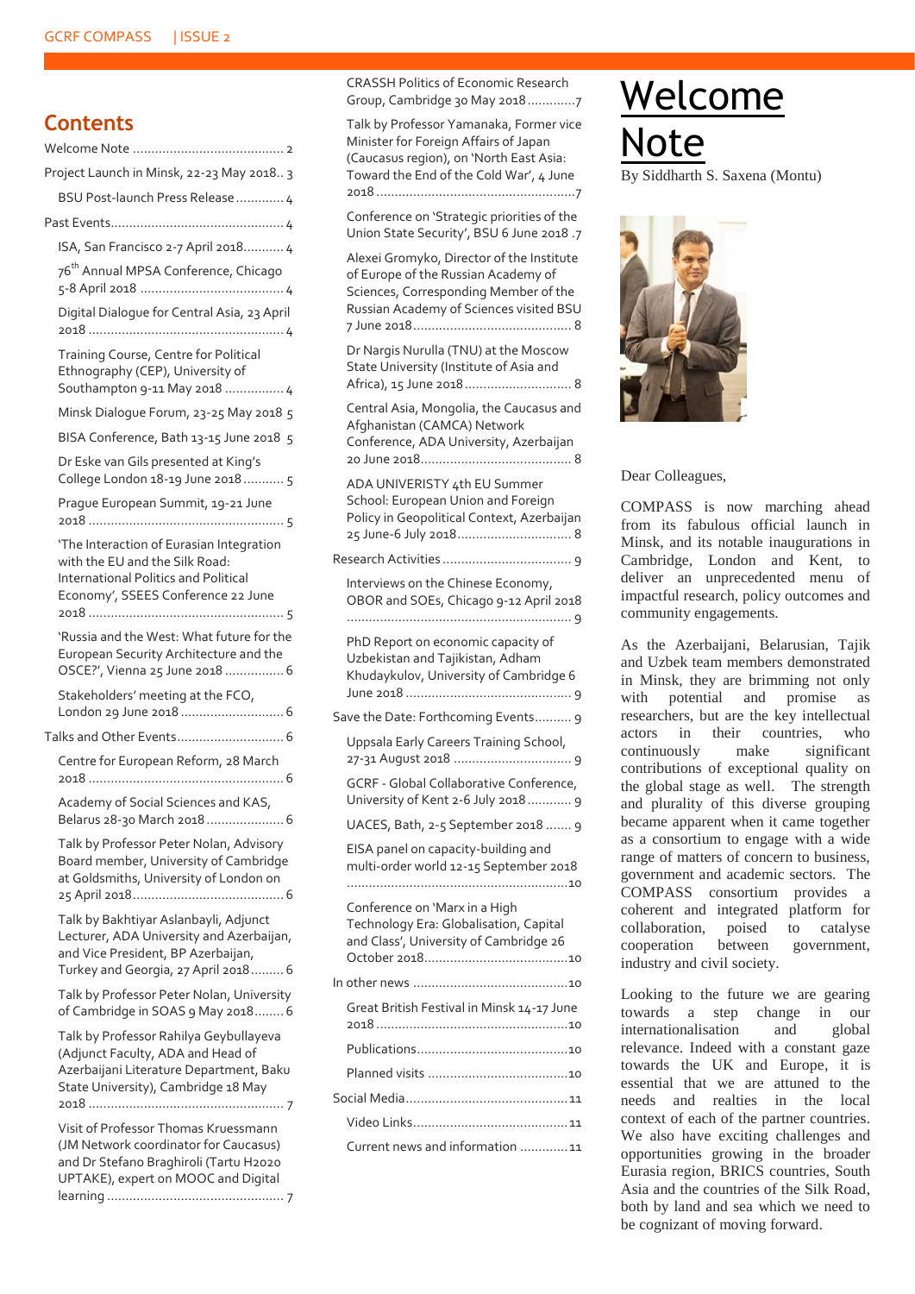### **Contents**

|                          | Project Launch in Minsk, 22-23 May 2018 3                                                                                                                      |
|--------------------------|----------------------------------------------------------------------------------------------------------------------------------------------------------------|
|                          | BSU Post-launch Press Release  4                                                                                                                               |
|                          |                                                                                                                                                                |
|                          | ISA, San Francisco 2-7 April 2018 4                                                                                                                            |
|                          | 76 <sup>th</sup> Annual MPSA Conference, Chicago                                                                                                               |
|                          | Digital Dialogue for Central Asia, 23 April                                                                                                                    |
|                          | Training Course, Centre for Political<br>Ethnography (CEP), University of<br>Southampton 9-11 May 2018  4                                                      |
|                          | Minsk Dialogue Forum, 23-25 May 2018 5                                                                                                                         |
|                          | BISA Conference, Bath 13-15 June 2018 5                                                                                                                        |
|                          | Dr Eske van Gils presented at King's<br>College London 18-19 June 2018 5                                                                                       |
|                          | Prague European Summit, 19-21 June                                                                                                                             |
|                          | 'The Interaction of Eurasian Integration<br>with the EU and the Silk Road:<br>International Politics and Political<br>Economy', SSEES Conference 22 June       |
|                          | 'Russia and the West: What future for the<br>European Security Architecture and the<br>OSCE?', Vienna 25 June 2018  6                                          |
|                          | Stakeholders' meeting at the FCO,<br>London 29 June 2018  6                                                                                                    |
| Talks and Other Events 6 |                                                                                                                                                                |
|                          | Centre for European Reform, 28 March                                                                                                                           |
|                          | Academy of Social Sciences and KAS,<br>Belarus 28-30 March 2018 6                                                                                              |
|                          | Talk by Professor Peter Nolan, Advisory<br>Board member, University of Cambridge<br>at Goldsmiths, University of London on                                     |
|                          | Talk by Bakhtiyar Aslanbayli, Adjunct<br>Lecturer, ADA University and Azerbaijan,<br>and Vice President, BP Azerbaijan,<br>Turkey and Georgia, 27 April 2018 6 |
|                          | Talk by Professor Peter Nolan, University<br>of Cambridge in SOAS 9 May 2018 6                                                                                 |
|                          | Talk by Professor Rahilya Geybullayeva<br>(Adjunct Faculty, ADA and Head of<br>Azerbaijani Literature Department, Baku<br>State University), Cambridge 18 May  |
|                          | Visit of Professor Thomas Kruessmann<br>(JM Network coordinator for Caucasus)<br>and Dr Stefano Braghiroli (Tartu H2020<br>UPTAKE), expert on MOOC and Digital |
|                          |                                                                                                                                                                |

[CRASSH Politics of Economic Research](#page-6-2)  [Group, Cambridge 30 May 2018.............7](#page-6-2)

[Talk by Professor Yamanaka, Former vice](#page-6-3)  [Minister for Foreign Affairs of Japan](#page-6-3)  [\(Caucasus region\), on 'North East Asia:](#page-6-3)  [Toward the End of the Cold War', 4 June](#page-6-3)  2018 [......................................................7](#page-6-3)

[Conference on 'Strategic priorities of the](#page-6-4)  [Union State Security', BSU 6 June 2018](#page-6-4) .7

[Alexei Gromyko, Director of the Institute](#page-7-0)  [of Europe of the Russian Academy of](#page-7-0)  [Sciences, Corresponding Member of the](#page-7-0)  [Russian Academy of Sciences visited BSU](#page-7-0)  [7 June 2018...........................................](#page-7-0) 8 [Dr Nargis Nurulla \(TNU\) at the Moscow](#page-7-1)  [State University \(Institute of Asia and](#page-7-1)  [Africa\), 15 June 2018.............................](#page-7-1) 8 [Central Asia, Mongolia, the Caucasus and](#page-7-2)  [Afghanistan \(CAMCA\) Network](#page-7-2)  [Conference, ADA University, Azerbaijan](#page-7-2)  [20 June 2018.........................................](#page-7-2) 8 [ADA UNIVERISTY 4th EU Summer](#page-7-3)  [School: European Union and Foreign](#page-7-3)  [Policy in Geopolitical Context, Azerbaijan](#page-7-3)  [25 June-6 July 2018...............................](#page-7-3) 8 Research Activities [...................................](#page-8-0) 9 [Interviews on the Chinese Economy,](#page-8-1)  [OBOR and SOEs, Chicago 9-12 April 2018](#page-8-1) [.............................................................](#page-8-1) 9 [PhD Report on economic capacity of](#page-8-2)  [Uzbekistan and Tajikistan, Adham](#page-8-2)  [Khudaykulov, University of Cambridge 6](#page-8-2)  June 2018 [.............................................](#page-8-2) 9 [Save the Date: Forthcoming Events..........](#page-8-3) 9 [Uppsala Early Careers Training School,](#page-8-4)  27-31 August 2018 [................................](#page-8-4) 9 GCRF - [Global Collaborative Conference,](#page-8-5)  [University of Kent 2-6 July 2018............](#page-8-5) 9 [UACES, Bath, 2-5 September 2018](#page-8-6) ....... 9 [EISA panel on capacity-building and](#page-9-0)  [multi-order world 12-15 September 2018](#page-9-0) [............................................................10](#page-9-0) [Conference on 'Marx in a High](#page-9-1)  [Technology Era: Globalisation, Capital](#page-9-1)  [and Class', University of Cambridge 26](#page-9-1)  [October 2018.......................................10](#page-9-1) In other news [..........................................10](#page-9-2) [Great British Festival in Minsk 14-17 June](#page-9-3)  2018 [....................................................10](#page-9-3) [Publications.........................................10](#page-9-4) Planned visits [......................................10](#page-9-5) [Social Media............................................11](#page-10-0) [Video Links..........................................11](#page-10-1) [Current news and information](#page-10-2) .............11

<span id="page-1-0"></span>Welcome **Note** Siddharth S. Saxena (Montu)



Dear Colleagues,

COMPASS is now marching ahead from its fabulous official launch in Minsk, and its notable inaugurations in Cambridge, London and Kent, to deliver an unprecedented menu of impactful research, policy outcomes and community engagements.

As the Azerbaijani, Belarusian, Tajik and Uzbek team members demonstrated in Minsk, they are brimming not only with potential and promise as researchers, but are the key intellectual actors in their countries, who continuously make significant contributions of exceptional quality on the global stage as well. The strength and plurality of this diverse grouping became apparent when it came together as a consortium to engage with a wide range of matters of concern to business, government and academic sectors. The COMPASS consortium provides a coherent and integrated platform for collaboration, poised to catalyse cooperation between government, industry and civil society.

Looking to the future we are gearing towards a step change in our internationalisation and global relevance. Indeed with a constant gaze towards the UK and Europe, it is essential that we are attuned to the needs and realties in the local context of each of the partner countries. We also have exciting challenges and opportunities growing in the broader Eurasia region, BRICS countries, South Asia and the countries of the Silk Road, both by land and sea which we need to be cognizant of moving forward.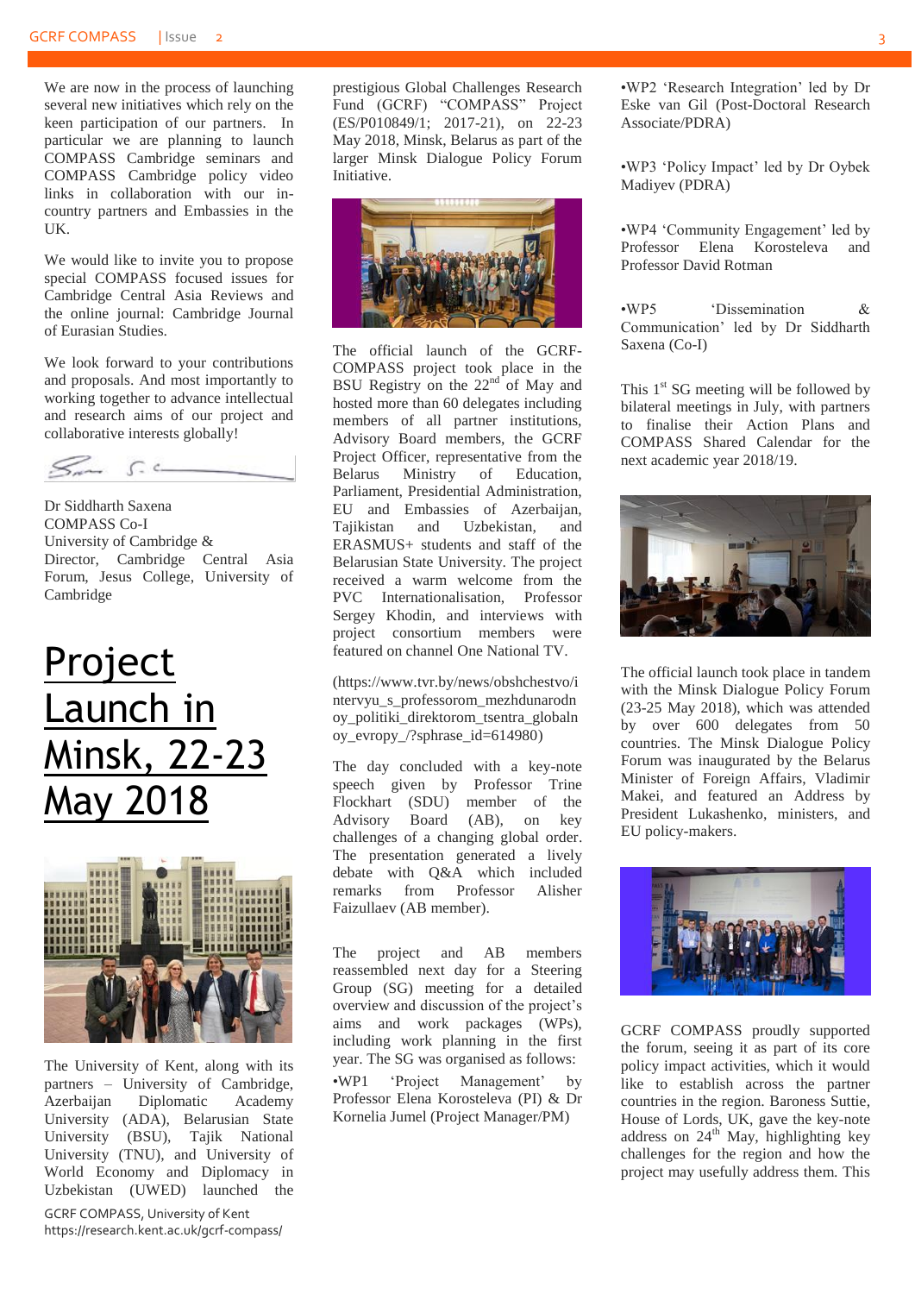We are now in the process of launching several new initiatives which rely on the keen participation of our partners. In particular we are planning to launch COMPASS Cambridge seminars and COMPASS Cambridge policy video links in collaboration with our incountry partners and Embassies in the UK.

We would like to invite you to propose special COMPASS focused issues for Cambridge Central Asia Reviews and the online journal: Cambridge Journal of Eurasian Studies.

We look forward to your contributions and proposals. And most importantly to working together to advance intellectual and research aims of our project and collaborative interests globally!

 $S_{\rm max}$   $S_{\rm max}$ 

Dr Siddharth Saxena COMPASS Co-I University of Cambridge & Director, Cambridge Central Asia Forum, Jesus College, University of Cambridge

### <span id="page-2-0"></span>Project Launch in Minsk, 22-23 May 2018



The University of Kent, along with its partners – University of Cambridge, Azerbaijan Diplomatic Academy University (ADA), Belarusian State University (BSU), Tajik National University (TNU), and University of World Economy and Diplomacy in Uzbekistan (UWED) launched the

GCRF COMPASS, University of Kent https://research.kent.ac.uk/gcrf-compass/ prestigious Global Challenges Research Fund (GCRF) "COMPASS" Project (ES/P010849/1; 2017-21), on 22-23 May 2018, Minsk, Belarus as part of the larger Minsk Dialogue Policy Forum Initiative.



The official launch of the GCRF-COMPASS project took place in the BSU Registry on the  $22<sup>nd</sup>$  of May and hosted more than 60 delegates including members of all partner institutions, Advisory Board members, the GCRF Project Officer, representative from the Belarus Ministry of Education, Parliament, Presidential Administration, EU and Embassies of Azerbaijan, Tajikistan and Uzbekistan, and ERASMUS+ students and staff of the Belarusian State University. The project received a warm welcome from the PVC Internationalisation, Professor Sergey Khodin, and interviews with project consortium members were featured on channel One National TV.

[\(https://www.tvr.by/news/obshchestvo/i](https://www.tvr.by/news/obshchestvo/intervyu_s_professorom_mezhdunarodnoy_politiki_direktorom_tsentra_globalnoy_evropy_/?sphrase_id=614980) [ntervyu\\_s\\_professorom\\_mezhdunarodn](https://www.tvr.by/news/obshchestvo/intervyu_s_professorom_mezhdunarodnoy_politiki_direktorom_tsentra_globalnoy_evropy_/?sphrase_id=614980) [oy\\_politiki\\_direktorom\\_tsentra\\_globaln](https://www.tvr.by/news/obshchestvo/intervyu_s_professorom_mezhdunarodnoy_politiki_direktorom_tsentra_globalnoy_evropy_/?sphrase_id=614980) [oy\\_evropy\\_/?sphrase\\_id=614980\)](https://www.tvr.by/news/obshchestvo/intervyu_s_professorom_mezhdunarodnoy_politiki_direktorom_tsentra_globalnoy_evropy_/?sphrase_id=614980)

The day concluded with a key-note speech given by Professor Trine Flockhart (SDU) member of the Advisory Board (AB), on key challenges of a changing global order. The presentation generated a lively debate with Q&A which included remarks from Professor Alisher Faizullaev (AB member).

The project and AB members reassembled next day for a Steering Group (SG) meeting for a detailed overview and discussion of the project's aims and work packages (WPs), including work planning in the first year. The SG was organised as follows:

•WP1 'Project Management' by Professor Elena Korosteleva (PI) & Dr Kornelia Jumel (Project Manager/PM)

•WP2 'Research Integration' led by Dr Eske van Gil (Post-Doctoral Research Associate/PDRA)

•WP3 'Policy Impact' led by Dr Oybek Madiyev (PDRA)

•WP4 'Community Engagement' led by Professor Elena Korosteleva and Professor David Rotman

•WP5 'Dissemination & Communication' led by Dr Siddharth Saxena (Co-I)

This 1<sup>st</sup> SG meeting will be followed by bilateral meetings in July, with partners to finalise their Action Plans and COMPASS Shared Calendar for the next academic year 2018/19.



The official launch took place in tandem with the Minsk Dialogue Policy Forum (23-25 May 2018), which was attended by over 600 delegates from 50 countries. The Minsk Dialogue Policy Forum was inaugurated by the Belarus Minister of Foreign Affairs, Vladimir Makei, and featured an Address by President Lukashenko, ministers, and EU policy-makers.



GCRF COMPASS proudly supported the forum, seeing it as part of its core policy impact activities, which it would like to establish across the partner countries in the region. Baroness Suttie, House of Lords, UK, gave the key-note address on  $24<sup>th</sup>$  May, highlighting key challenges for the region and how the project may usefully address them. This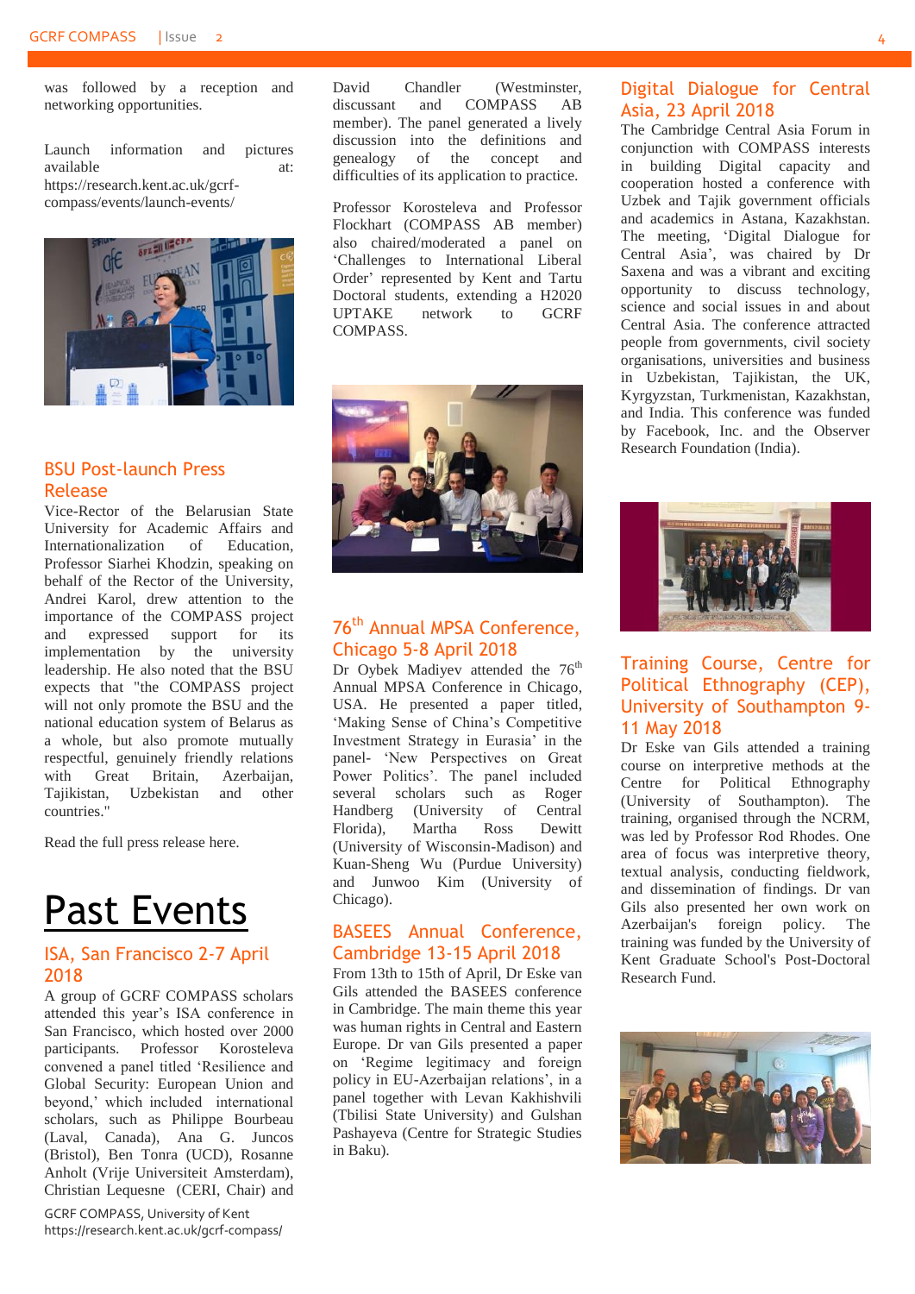was followed by a reception and networking opportunities.

Launch information and pictures available at: https://research.kent.ac.uk/gcrfcompass/events/launch-events/



#### <span id="page-3-0"></span>BSU Post-launch Press Release

Vice-Rector of the Belarusian State University for Academic Affairs and Internationalization of Education, Professor Siarhei Khodzin, speaking on behalf of the Rector of the University, Andrei Karol, drew attention to the importance of the COMPASS project and expressed support for its implementation by the university leadership. He also noted that the BSU expects that "the COMPASS project will not only promote the BSU and the national education system of Belarus as a whole, but also promote mutually respectful, genuinely friendly relations with Great Britain, Azerbaijan, Tajikistan, Uzbekistan and other countries."

Read the full press release [here.](https://hist.bsu.by/faculty/novosti-fakulteta/8194-v-minske-proshli-startovye-meropriyatiya-krupnogo-mezhdunarodnogo-proekta-universiteta-kenta-compass-podderzhannogo-issledovatelskim-fondom-po-globalnym-vyzovam-velikobritaniya.html)

### <span id="page-3-1"></span>Past Events

#### <span id="page-3-2"></span>ISA, San Francisco 2-7 April 2018

A group of GCRF COMPASS scholars attended this year's ISA conference in San Francisco, which hosted over 2000 participants. Professor Korosteleva convened a panel titled 'Resilience and Global Security: European Union and beyond,' which included international scholars, such as Philippe Bourbeau (Laval, Canada), Ana G. Juncos (Bristol), Ben Tonra (UCD), Rosanne Anholt (Vrije Universiteit Amsterdam), Christian Lequesne (CERI, Chair) and

GCRF COMPASS, University of Kent https://research.kent.ac.uk/gcrf-compass/ David Chandler (Westminster, discussant and COMPASS AB member). The panel generated a lively discussion into the definitions and genealogy of the concept and difficulties of its application to practice.

Professor Korosteleva and Professor Flockhart (COMPASS AB member) also chaired/moderated a panel on 'Challenges to International Liberal Order' represented by Kent and Tartu Doctoral students, extending a H2020<br>UPTAKE network to GCRF UPTAKE network to GCRF **COMPASS** 



#### <span id="page-3-3"></span>76<sup>th</sup> Annual MPSA Conference, Chicago 5-8 April 2018

Dr Oybek Madiyev attended the 76<sup>th</sup> Annual MPSA Conference in Chicago, USA. He presented a paper titled, 'Making Sense of China's Competitive Investment Strategy in Eurasia' in the panel- 'New Perspectives on Great Power Politics'. The panel included several scholars such as Roger Handberg (University of Central Florida), Martha Ross Dewitt (University of Wisconsin-Madison) and Kuan-Sheng Wu (Purdue University) and Junwoo Kim (University of Chicago).

#### BASEES Annual Conference, Cambridge 13-15 April 2018

From 13th to 15th of April, Dr Eske van Gils attended the BASEES conference in Cambridge. The main theme this year was human rights in Central and Eastern Europe. Dr van Gils presented a paper on 'Regime legitimacy and foreign policy in EU-Azerbaijan relations', in a panel together with Levan Kakhishvili (Tbilisi State University) and Gulshan Pashayeva (Centre for Strategic Studies in Baku).

#### <span id="page-3-4"></span>Digital Dialogue for Central Asia, 23 April 2018

The Cambridge Central Asia Forum in conjunction with COMPASS interests in building Digital capacity and cooperation hosted a conference with Uzbek and Tajik government officials and academics in Astana, Kazakhstan. The meeting, 'Digital Dialogue for Central Asia', was chaired by Dr Saxena and was a vibrant and exciting opportunity to discuss technology, science and social issues in and about Central Asia. The conference attracted people from governments, civil society organisations, universities and business in Uzbekistan, Tajikistan, the UK, Kyrgyzstan, Turkmenistan, Kazakhstan, and India. This conference was funded by Facebook, Inc. and the Observer Research Foundation (India).



#### <span id="page-3-5"></span>Training Course, Centre for Political Ethnography (CEP), University of Southampton 9- 11 May 2018

Dr Eske van Gils attended a training course on interpretive methods at the Centre for Political Ethnography (University of Southampton). The training, organised through the NCRM, was led by Professor Rod Rhodes. One area of focus was interpretive theory, textual analysis, conducting fieldwork, and dissemination of findings. Dr van Gils also presented her own work on<br>Azerbaijan's foreign policy. The Azerbaijan's foreign policy. training was funded by the University of Kent Graduate School's Post-Doctoral Research Fund.

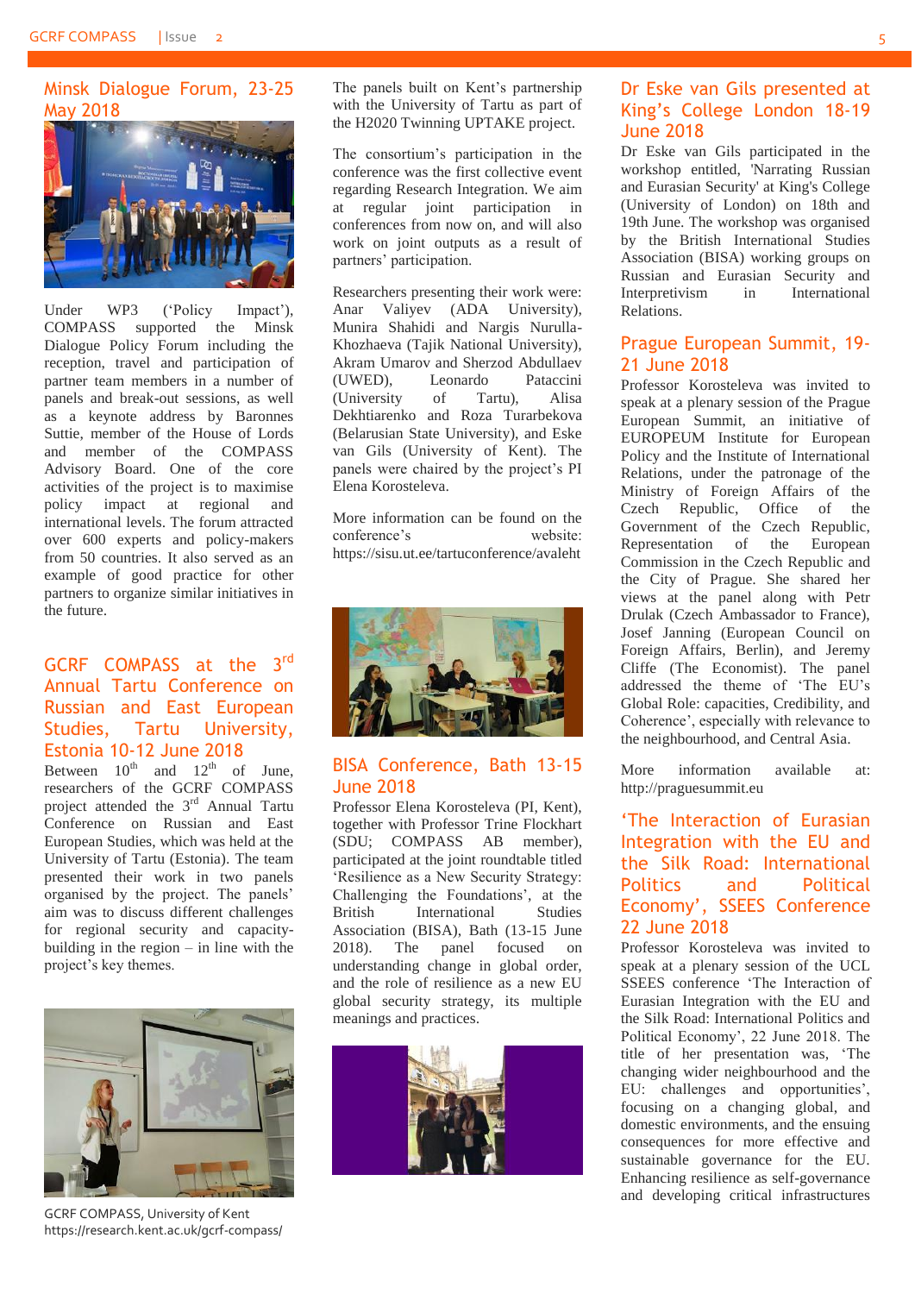#### <span id="page-4-0"></span>Minsk Dialogue Forum, 23-25 May 2018



Under WP3 ('Policy Impact'), COMPASS supported the Minsk Dialogue Policy Forum including the reception, travel and participation of partner team members in a number of panels and break-out sessions, as well as a keynote address by Baronnes Suttie, member of the House of Lords and member of the COMPASS Advisory Board. One of the core activities of the project is to maximise policy impact at regional and international levels. The forum attracted over 600 experts and policy-makers from 50 countries. It also served as an example of good practice for other partners to organize similar initiatives in the future.

#### GCRF COMPASS at the  $3<sup>rd</sup>$ Annual Tartu Conference on Russian and East European Studies, Tartu University, Estonia 10-12 June 2018

Between  $10^{th}$  and  $12^{th}$  of June, researchers of the GCRF COMPASS project attended the 3<sup>rd</sup> Annual Tartu Conference on Russian and East European Studies, which was held at the University of Tartu (Estonia). The team presented their work in two panels organised by the project. The panels' aim was to discuss different challenges for regional security and capacitybuilding in the region – in line with the project's key themes.



GCRF COMPASS, University of Kent https://research.kent.ac.uk/gcrf-compass/

The panels built on Kent's partnership with the University of Tartu as part of the H2020 Twinning UPTAKE project.

The consortium's participation in the conference was the first collective event regarding Research Integration. We aim at regular joint participation in conferences from now on, and will also work on joint outputs as a result of partners' participation.

Researchers presenting their work were: Anar Valiyev (ADA University), Munira Shahidi and Nargis Nurulla-Khozhaeva (Tajik National University), Akram Umarov and Sherzod Abdullaev (UWED), Leonardo Pataccini (University of Tartu), Alisa Dekhtiarenko and Roza Turarbekova (Belarusian State University), and Eske van Gils (University of Kent). The panels were chaired by the project's PI Elena Korosteleva.

More information can be found on the conference's website: <https://sisu.ut.ee/tartuconference/avaleht>



#### <span id="page-4-1"></span>BISA Conference, Bath 13-15 June 2018

Professor Elena Korosteleva (PI, Kent), together with Professor Trine Flockhart (SDU; COMPASS AB member), participated at the joint roundtable titled 'Resilience as a New Security Strategy: Challenging the Foundations', at the British International Studies Association (BISA), Bath (13-15 June 2018). The panel focused on understanding change in global order, and the role of resilience as a new EU global security strategy, its multiple meanings and practices.



#### <span id="page-4-2"></span>Dr Eske van Gils presented at King's College London 18-19 June 2018

Dr Eske van Gils participated in the workshop entitled, 'Narrating Russian and Eurasian Security' at King's College (University of London) on 18th and 19th June. The workshop was organised by the British International Studies Association (BISA) working groups on Russian and Eurasian Security and Interpretivism in International Relations.

#### <span id="page-4-3"></span>Prague European Summit, 19- 21 June 2018

Professor Korosteleva was invited to speak at a plenary session of the Prague European Summit, an initiative of EUROPEUM Institute for European Policy and the Institute of International Relations, under the patronage of the Ministry of Foreign Affairs of the Czech Republic, Office of the Government of the Czech Republic, Representation of the European Commission in the Czech Republic and the City of Prague. She shared her views at the panel along with Petr Drulak (Czech Ambassador to France), Josef Janning (European Council on Foreign Affairs, Berlin), and Jeremy Cliffe (The Economist). The panel addressed the theme of 'The EU's Global Role: capacities, Credibility, and Coherence', especially with relevance to the neighbourhood, and Central Asia.

More information available at: [http://praguesummit.eu](http://praguesummit.eu/)

#### <span id="page-4-4"></span>'The Interaction of Eurasian Integration with the EU and the Silk Road: International Politics and Political Economy', SSEES Conference 22 June 2018

Professor Korosteleva was invited to speak at a plenary session of the UCL SSEES conference 'The Interaction of Eurasian Integration with the EU and the Silk Road: International Politics and Political Economy', 22 June 2018. The title of her presentation was, 'The changing wider neighbourhood and the EU: challenges and opportunities', focusing on a changing global, and domestic environments, and the ensuing consequences for more effective and sustainable governance for the EU. Enhancing resilience as self-governance and developing critical infrastructures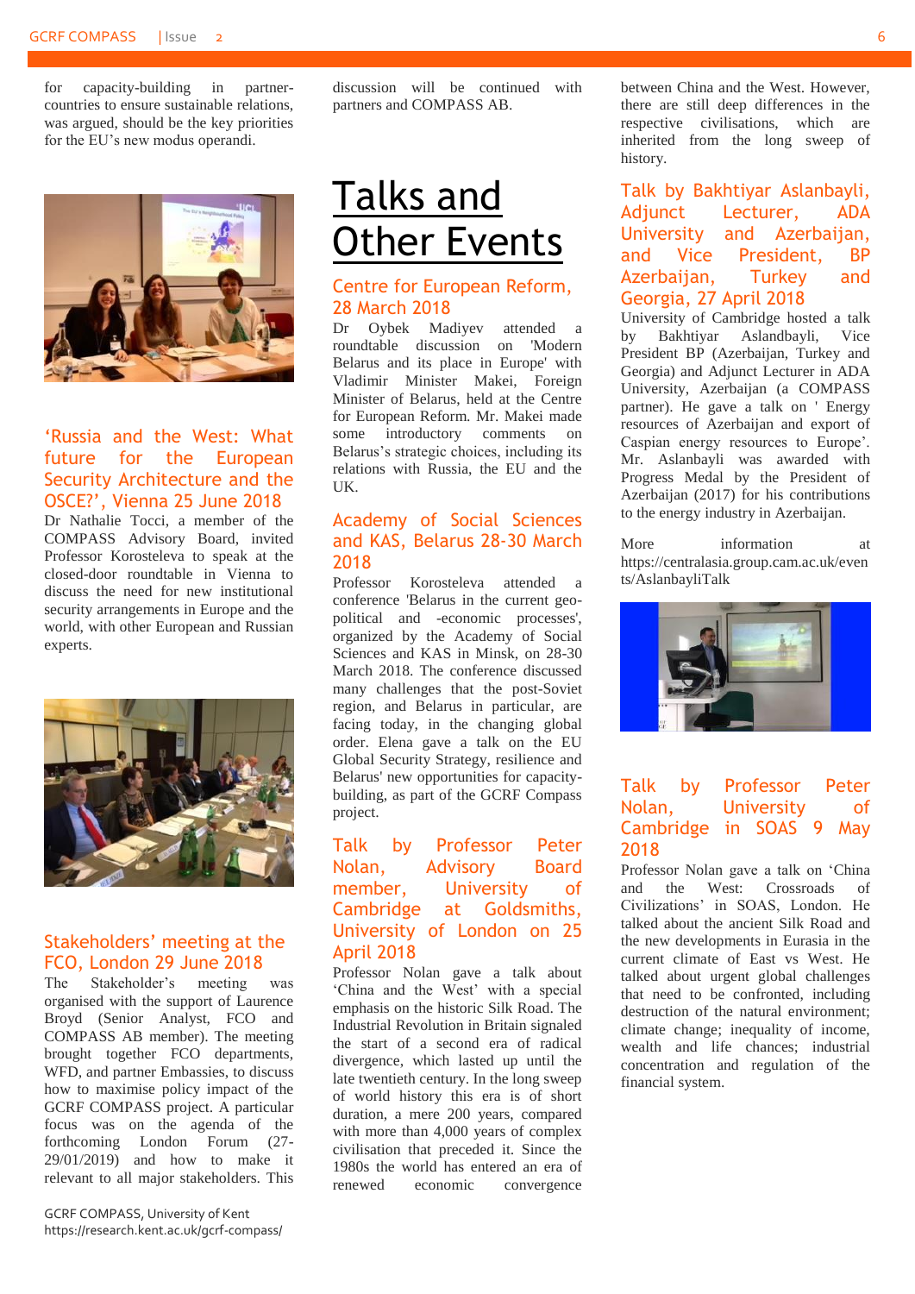for capacity-building in partnercountries to ensure sustainable relations, was argued, should be the key priorities for the EU's new modus operandi.



#### <span id="page-5-0"></span>'Russia and the West: What future for the European Security Architecture and the OSCE?', Vienna 25 June 2018

Dr Nathalie Tocci, a member of the COMPASS Advisory Board, invited Professor Korosteleva to speak at the closed-door roundtable in Vienna to discuss the need for new institutional security arrangements in Europe and the world, with other European and Russian experts.



#### <span id="page-5-1"></span>Stakeholders' meeting at the FCO, London 29 June 2018

The Stakeholder's meeting was organised with the support of Laurence Broyd (Senior Analyst, FCO and COMPASS AB member). The meeting brought together FCO departments, WFD, and partner Embassies, to discuss how to maximise policy impact of the GCRF COMPASS project. A particular focus was on the agenda of the forthcoming London Forum (27- 29/01/2019) and how to make it relevant to all major stakeholders. This

GCRF COMPASS, University of Kent https://research.kent.ac.uk/gcrf-compass/ discussion will be continued with partners and COMPASS AB.

### <span id="page-5-2"></span>Talks and Other Events

#### <span id="page-5-3"></span>Centre for European Reform, 28 March 2018

Dr Oybek Madiyev attended a roundtable discussion on 'Modern Belarus and its place in Europe' with Vladimir Minister Makei, Foreign Minister of Belarus, held at the Centre for European Reform. Mr. Makei made some introductory comments on Belarus's strategic choices, including its relations with Russia, the EU and the  $I K$ 

#### <span id="page-5-4"></span>Academy of Social Sciences and KAS, Belarus 28-30 March 2018

Professor Korosteleva attended a conference 'Belarus in the current geopolitical and -economic processes', organized by the Academy of Social Sciences and KAS in Minsk, on 28-30 March 2018. The conference discussed many challenges that the post-Soviet region, and Belarus in particular, are facing today, in the changing global order. Elena gave a talk on the EU Global Security Strategy, resilience and Belarus' new opportunities for capacitybuilding, as part of the GCRF Compass project.

#### <span id="page-5-5"></span>Talk by Professor Peter Nolan, Advisory Board member, University of Cambridge at Goldsmiths, University of London on 25 April 2018

Professor Nolan gave a talk about 'China and the West' with a special emphasis on the historic Silk Road. The Industrial Revolution in Britain signaled the start of a second era of radical divergence, which lasted up until the late twentieth century. In the long sweep of world history this era is of short duration, a mere 200 years, compared with more than 4,000 years of complex civilisation that preceded it. Since the 1980s the world has entered an era of renewed economic convergence

between China and the West. However, there are still deep differences in the respective civilisations, which are inherited from the long sweep of history.

<span id="page-5-6"></span>Talk by Bakhtiyar Aslanbayli, Adjunct Lecturer, ADA University and Azerbaijan, and Vice President, BP Azerbaijan, Turkey and Georgia, 27 April 2018

University of Cambridge hosted a talk by Bakhtiyar Aslandbayli, Vice President BP (Azerbaijan, Turkey and Georgia) and Adjunct Lecturer in ADA University, Azerbaijan (a COMPASS partner). He gave a talk on ' Energy resources of Azerbaijan and export of Caspian energy resources to Europe'. Mr. Aslanbayli was awarded with Progress Medal by the President of Azerbaijan (2017) for his contributions to the energy industry in Azerbaijan.

More information at [https://centralasia.group.cam.ac.uk/even](https://centralasia.group.cam.ac.uk/events/AslanbayliTalk) [ts/AslanbayliTalk](https://centralasia.group.cam.ac.uk/events/AslanbayliTalk)



#### <span id="page-5-7"></span>Talk by Professor Peter Nolan, University of Cambridge in SOAS 9 May 2018

Professor Nolan gave a talk on 'China and the West: Crossroads of Civilizations' in SOAS, London. He talked about the ancient Silk Road and the new developments in Eurasia in the current climate of East vs West. He talked about urgent global challenges that need to be confronted, including destruction of the natural environment; climate change; inequality of income, wealth and life chances; industrial concentration and regulation of the financial system.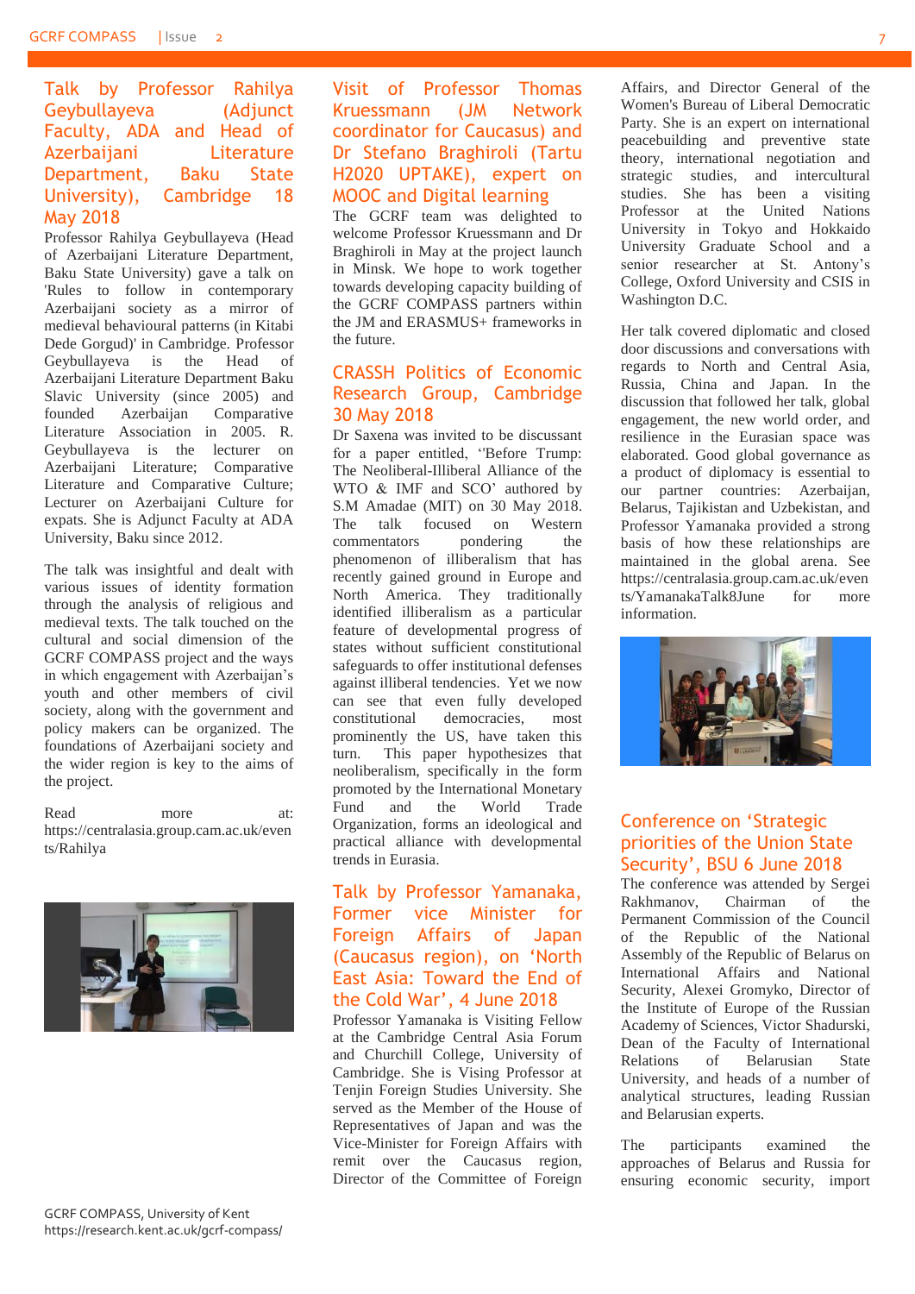#### <span id="page-6-0"></span>Talk by Professor Rahilya Geybullayeva (Adjunct Faculty, ADA and Head of Azerbaijani Literature Department, Baku State University), Cambridge 18 May 2018

Professor Rahilya Geybullayeva (Head of Azerbaijani Literature Department, Baku State University) gave a talk on 'Rules to follow in contemporary Azerbaijani society as a mirror of medieval behavioural patterns (in Kitabi Dede Gorgud)' in Cambridge. Professor Geybullayeva is the Head of Azerbaijani Literature Department Baku Slavic University (since 2005) and founded Azerbaijan Comparative Literature Association in 2005. R. Geybullayeva is the lecturer on Azerbaijani Literature; Comparative Literature and Comparative Culture; Lecturer on Azerbaijani Culture for expats. She is Adjunct Faculty at ADA University, Baku since 2012.

The talk was insightful and dealt with various issues of identity formation through the analysis of religious and medieval texts. The talk touched on the cultural and social dimension of the GCRF COMPASS project and the ways in which engagement with Azerbaijan's youth and other members of civil society, along with the government and policy makers can be organized. The foundations of Azerbaijani society and the wider region is key to the aims of the project.

Read more at: [https://centralasia.group.cam.ac.uk/even](https://centralasia.group.cam.ac.uk/events/Rahilya) [ts/Rahilya](https://centralasia.group.cam.ac.uk/events/Rahilya)



#### <span id="page-6-1"></span>Visit of Professor Thomas Kruessmann (JM Network coordinator for Caucasus) and Dr Stefano Braghiroli (Tartu H2020 UPTAKE), expert on MOOC and Digital learning

The GCRF team was delighted to welcome Professor Kruessmann and Dr Braghiroli in May at the project launch in Minsk. We hope to work together towards developing capacity building of the GCRF COMPASS partners within the JM and ERASMUS+ frameworks in the future.

#### <span id="page-6-2"></span>CRASSH Politics of Economic Research Group, Cambridge 30 May 2018

Dr Saxena was invited to be discussant for a paper entitled, ''Before Trump: The Neoliberal-Illiberal Alliance of the WTO & IMF and SCO' authored by S.M Amadae (MIT) on 30 May 2018. The talk focused on Western commentators pondering the phenomenon of illiberalism that has recently gained ground in Europe and North America. They traditionally identified illiberalism as a particular feature of developmental progress of states without sufficient constitutional safeguards to offer institutional defenses against illiberal tendencies. Yet we now can see that even fully developed constitutional democracies, most prominently the US, have taken this turn. This paper hypothesizes that neoliberalism, specifically in the form promoted by the International Monetary Fund and the World Trade Organization, forms an ideological and practical alliance with developmental trends in Eurasia.

#### <span id="page-6-3"></span>Talk by Professor Yamanaka, Former vice Minister for Foreign Affairs of Japan (Caucasus region), on 'North East Asia: Toward the End of the Cold War', 4 June 2018

Professor Yamanaka is Visiting Fellow at the Cambridge Central Asia Forum and Churchill College, University of Cambridge. She is Vising Professor at Tenjin Foreign Studies University. She served as the Member of the House of Representatives of Japan and was the Vice-Minister for Foreign Affairs with remit over the Caucasus region, Director of the Committee of Foreign Affairs, and Director General of the Women's Bureau of Liberal Democratic Party. She is an expert on international peacebuilding and preventive state theory, international negotiation and strategic studies, and intercultural studies. She has been a visiting Professor at the United Nations University in Tokyo and Hokkaido University Graduate School and a senior researcher at St. Antony's College, Oxford University and CSIS in Washington D.C.

Her talk covered diplomatic and closed door discussions and conversations with regards to North and Central Asia, Russia, China and Japan. In the discussion that followed her talk, global engagement, the new world order, and resilience in the Eurasian space was elaborated. Good global governance as a product of diplomacy is essential to our partner countries: Azerbaijan, Belarus, Tajikistan and Uzbekistan, and Professor Yamanaka provided a strong basis of how these relationships are maintained in the global arena. See [https://centralasia.group.cam.ac.uk/even](https://centralasia.group.cam.ac.uk/events/YamanakaTalk8June) [ts/YamanakaTalk8June](https://centralasia.group.cam.ac.uk/events/YamanakaTalk8June) for more information.



#### <span id="page-6-4"></span>Conference on 'Strategic priorities of the Union State Security', BSU 6 June 2018

The conference was attended by Sergei Rakhmanov, Chairman of the Permanent Commission of the Council of the Republic of the National Assembly of the Republic of Belarus on International Affairs and National Security, Alexei Gromyko, Director of the Institute of Europe of the Russian Academy of Sciences, Victor Shadurski, Dean of the Faculty of International Relations of Belarusian State University, and heads of a number of analytical structures, leading Russian and Belarusian experts.

The participants examined the approaches of Belarus and Russia for ensuring economic security, import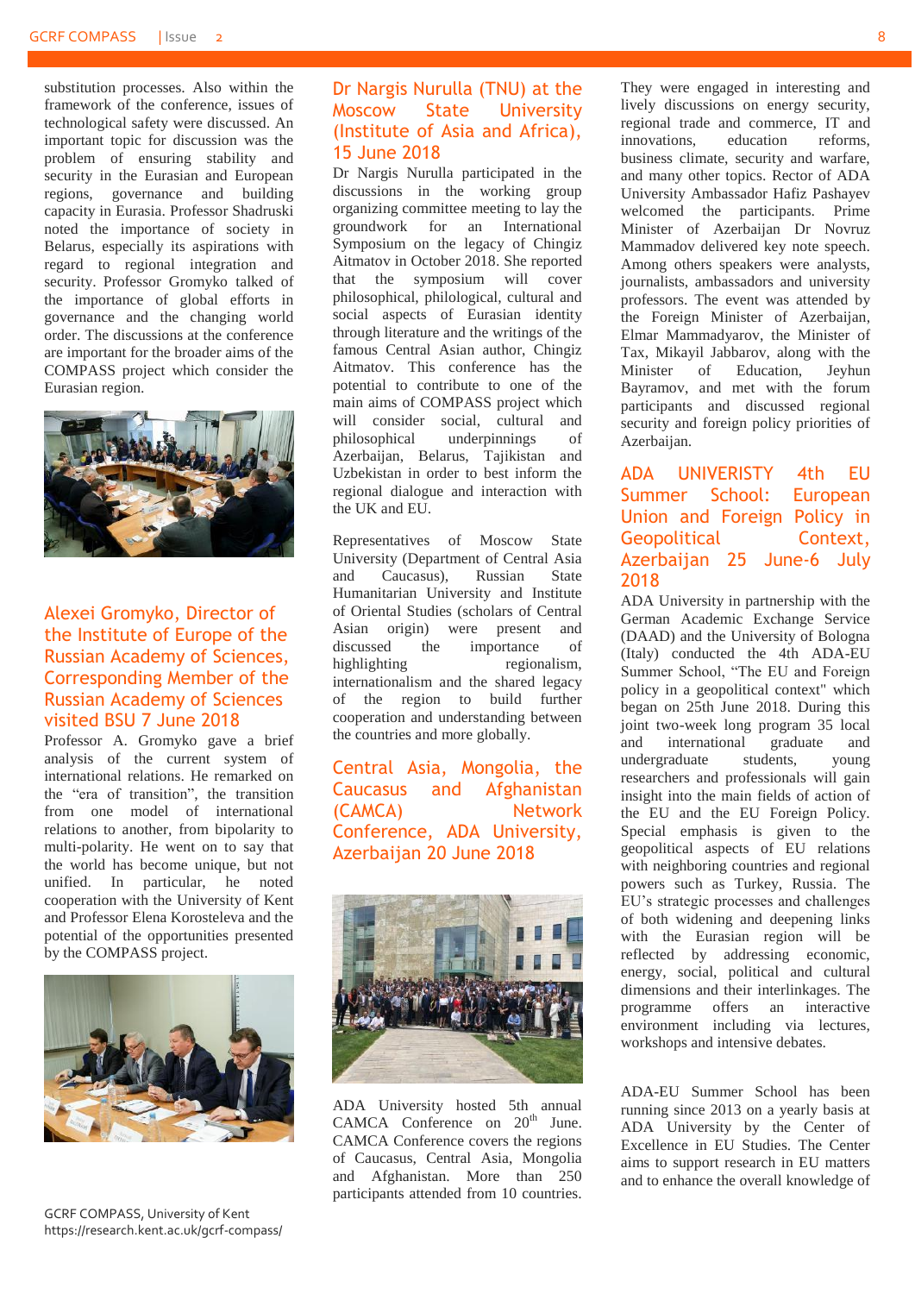substitution processes. Also within the framework of the conference, issues of technological safety were discussed. An important topic for discussion was the problem of ensuring stability and security in the Eurasian and European regions, governance and building capacity in Eurasia. Professor Shadruski noted the importance of society in Belarus, especially its aspirations with regard to regional integration and security. Professor Gromyko talked of the importance of global efforts in governance and the changing world order. The discussions at the conference are important for the broader aims of the COMPASS project which consider the Eurasian region.



#### <span id="page-7-0"></span>Alexei Gromyko, Director of the Institute of Europe of the Russian Academy of Sciences, Corresponding Member of the Russian Academy of Sciences visited BSU 7 June 2018

Professor A. Gromyko gave a brief analysis of the current system of international relations. He remarked on the "era of transition", the transition from one model of international relations to another, from bipolarity to multi-polarity. He went on to say that the world has become unique, but not unified. In particular, he noted cooperation with the University of Kent and Professor Elena Korosteleva and the potential of the opportunities presented by the COMPASS project.



GCRF COMPASS, University of Kent https://research.kent.ac.uk/gcrf-compass/

#### <span id="page-7-1"></span>Dr Nargis Nurulla (TNU) at the Moscow State University (Institute of Asia and Africa), 15 June 2018

Dr Nargis Nurulla participated in the discussions in the working group organizing committee meeting to lay the groundwork for an International Symposium on the legacy of Chingiz Aitmatov in October 2018. She reported that the symposium will cover philosophical, philological, cultural and social aspects of Eurasian identity through literature and the writings of the famous Central Asian author, Chingiz Aitmatov. This conference has the potential to contribute to one of the main aims of COMPASS project which will consider social, cultural and philosophical underpinnings of Azerbaijan, Belarus, Tajikistan and Uzbekistan in order to best inform the regional dialogue and interaction with the UK and EU.

Representatives of Moscow State University (Department of Central Asia and Caucasus), Russian State Humanitarian University and Institute of Oriental Studies (scholars of Central Asian origin) were present and discussed the importance of highlighting regionalism, internationalism and the shared legacy of the region to build further cooperation and understanding between the countries and more globally.

<span id="page-7-2"></span>Central Asia, Mongolia, the Caucasus and Afghanistan (CAMCA) Network Conference, ADA University, Azerbaijan 20 June 2018



ADA University hosted 5th annual CAMCA Conference on 20<sup>th</sup> June. CAMCA Conference covers the regions of Caucasus, Central Asia, Mongolia and Afghanistan. More than 250 participants attended from 10 countries.

They were engaged in interesting and lively discussions on energy security, regional trade and commerce, IT and<br>innovations. education reforms. innovations, education business climate, security and warfare, and many other topics. Rector of ADA University Ambassador Hafiz Pashayev welcomed the participants. Prime Minister of Azerbaijan Dr Novruz Mammadov delivered key note speech. Among others speakers were analysts, journalists, ambassadors and university professors. The event was attended by the Foreign Minister of Azerbaijan, Elmar Mammadyarov, the Minister of Tax, Mikayil Jabbarov, along with the Minister of Education, Jeyhun Bayramov, and met with the forum participants and discussed regional security and foreign policy priorities of Azerbaijan.

#### <span id="page-7-3"></span>ADA UNIVERISTY 4th EU Summer School: European Union and Foreign Policy in Geopolitical Context, Azerbaijan 25 June-6 July 2018

ADA University in partnership with the German Academic Exchange Service (DAAD) and the University of Bologna (Italy) conducted the 4th ADA-EU Summer School, "The EU and Foreign policy in a geopolitical context" which began on 25th June 2018. During this joint two-week long program 35 local and international graduate and<br>undergraduate students, voung undergraduate students, researchers and professionals will gain insight into the main fields of action of the EU and the EU Foreign Policy. Special emphasis is given to the geopolitical aspects of EU relations with neighboring countries and regional powers such as Turkey, Russia. The EU's strategic processes and challenges of both widening and deepening links with the Eurasian region will be reflected by addressing economic, energy, social, political and cultural dimensions and their interlinkages. The programme offers an interactive environment including via lectures, workshops and intensive debates.

ADA-EU Summer School has been running since 2013 on a yearly basis at ADA University by the Center of Excellence in EU Studies. The Center aims to support research in EU matters and to enhance the overall knowledge of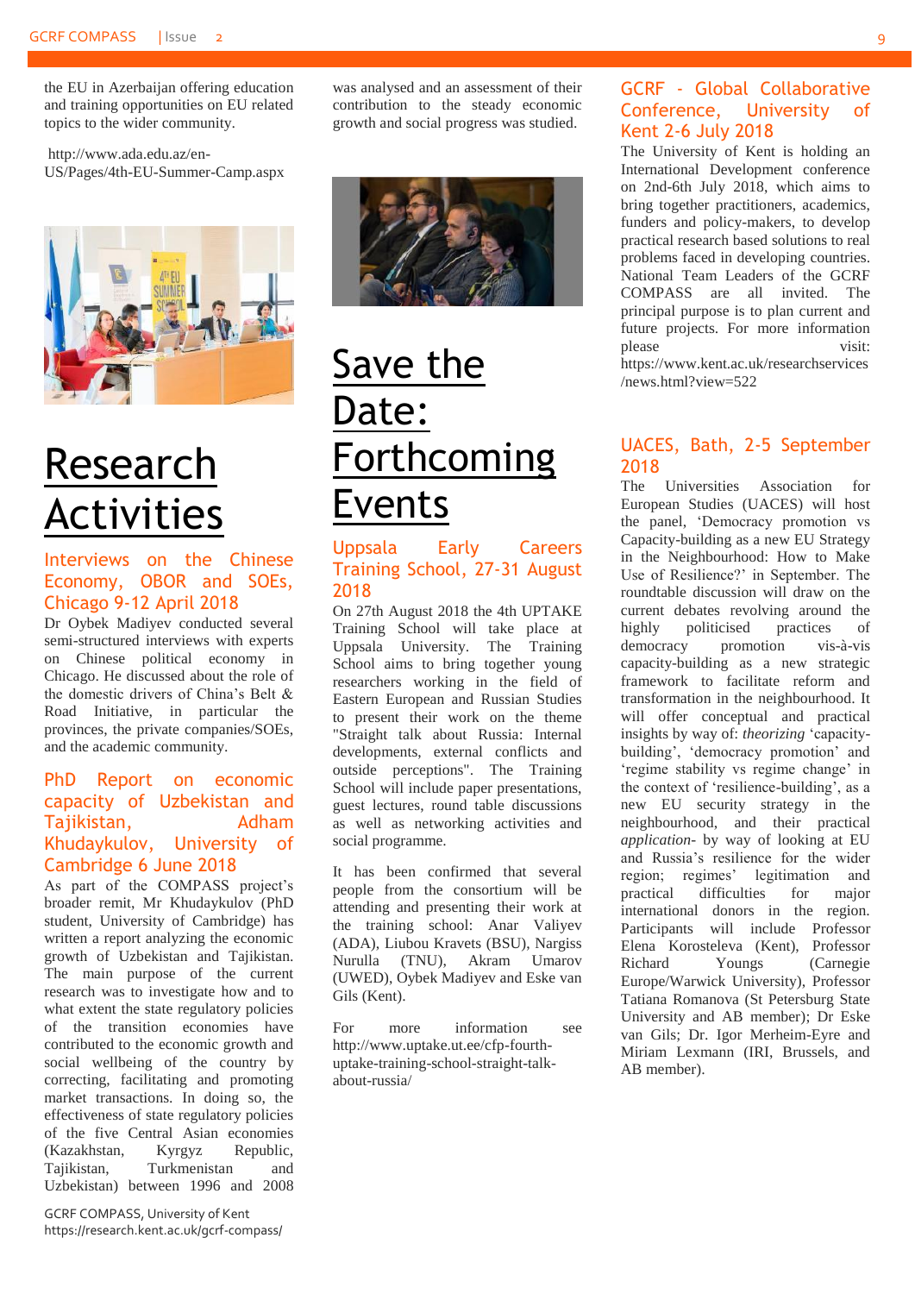the EU in Azerbaijan offering education and training opportunities on EU related topics to the wider community.

[http://www.ada.edu.az/en-](http://www.ada.edu.az/en-US/Pages/4th-EU-Summer-Camp.aspx)[US/Pages/4th-EU-Summer-Camp.aspx](http://www.ada.edu.az/en-US/Pages/4th-EU-Summer-Camp.aspx)



## <span id="page-8-0"></span>Research Activities

#### <span id="page-8-1"></span>Interviews on the Chinese Economy, OBOR and SOEs, Chicago 9-12 April 2018

Dr Oybek Madiyev conducted several semi-structured interviews with experts on Chinese political economy in Chicago. He discussed about the role of the domestic drivers of China's Belt & Road Initiative, in particular the provinces, the private companies/SOEs, and the academic community.

#### <span id="page-8-2"></span>PhD Report on economic capacity of Uzbekistan and Tajikistan, Adham Khudaykulov, University of Cambridge 6 June 2018

As part of the COMPASS project's broader remit, Mr Khudaykulov (PhD student, University of Cambridge) has written a report analyzing the economic growth of Uzbekistan and Tajikistan. The main purpose of the current research was to investigate how and to what extent the state regulatory policies of the transition economies have contributed to the economic growth and social wellbeing of the country by correcting, facilitating and promoting market transactions. In doing so, the effectiveness of state regulatory policies of the five Central Asian economies (Kazakhstan, Kyrgyz Republic, Tajikistan, Turkmenistan and Uzbekistan) between 1996 and 2008

was analysed and an assessment of their contribution to the steady economic growth and social progress was studied.



### <span id="page-8-3"></span>Save the Date: Forthcoming Events

<span id="page-8-4"></span>Uppsala Early Careers Training School, 27-31 August 2018

On 27th August 2018 the 4th UPTAKE Training School will take place at Uppsala University. The Training School aims to bring together young researchers working in the field of Eastern European and Russian Studies to present their work on the theme "Straight talk about Russia: Internal developments, external conflicts and outside perceptions". The Training School will include paper presentations, guest lectures, round table discussions as well as networking activities and social programme.

It has been confirmed that several people from the consortium will be attending and presenting their work at the training school: Anar Valiyev (ADA), Liubou Kravets (BSU), Nargiss Nurulla (TNU), Akram Umarov (UWED), Oybek Madiyev and Eske van Gils (Kent).

For more information see [http://www.uptake.ut.ee/cfp-fourth](http://www.uptake.ut.ee/cfp-fourth-uptake-training-school-straight-talk-about-russia/)[uptake-training-school-straight-talk](http://www.uptake.ut.ee/cfp-fourth-uptake-training-school-straight-talk-about-russia/)[about-russia/](http://www.uptake.ut.ee/cfp-fourth-uptake-training-school-straight-talk-about-russia/)

#### <span id="page-8-5"></span>GCRF - Global Collaborative Conference, University of Kent 2-6 July 2018

The University of Kent is holding an International Development conference on 2nd-6th July 2018, which aims to bring together practitioners, academics, funders and policy-makers, to develop practical research based solutions to real problems faced in developing countries. National Team Leaders of the GCRF COMPASS are all invited. The principal purpose is to plan current and future projects. For more information please visit: [https://www.kent.ac.uk/researchservices](https://www.kent.ac.uk/researchservices/news.html?view=522)

[/news.html?view=522](https://www.kent.ac.uk/researchservices/news.html?view=522)

#### <span id="page-8-6"></span>UACES, Bath, 2-5 September 2018

The Universities Association for European Studies (UACES) will host the panel, 'Democracy promotion vs Capacity-building as a new EU Strategy in the Neighbourhood: How to Make Use of Resilience?' in September. The roundtable discussion will draw on the current debates revolving around the<br>highly politicised practices of highly politicised practices of democracy promotion vis-à-vis capacity-building as a new strategic framework to facilitate reform and transformation in the neighbourhood. It will offer conceptual and practical insights by way of: *theorizing* 'capacitybuilding', 'democracy promotion' and 'regime stability vs regime change' in the context of 'resilience-building', as a new EU security strategy in the neighbourhood, and their practical *application*- by way of looking at EU and Russia's resilience for the wider region; regimes' legitimation and practical difficulties for major international donors in the region. Participants will include Professor Elena Korosteleva (Kent), Professor Richard Youngs (Carnegie Europe/Warwick University), Professor Tatiana Romanova (St Petersburg State University and AB member); Dr Eske van Gils; Dr. Igor Merheim-Eyre and Miriam Lexmann (IRI, Brussels, and AB member).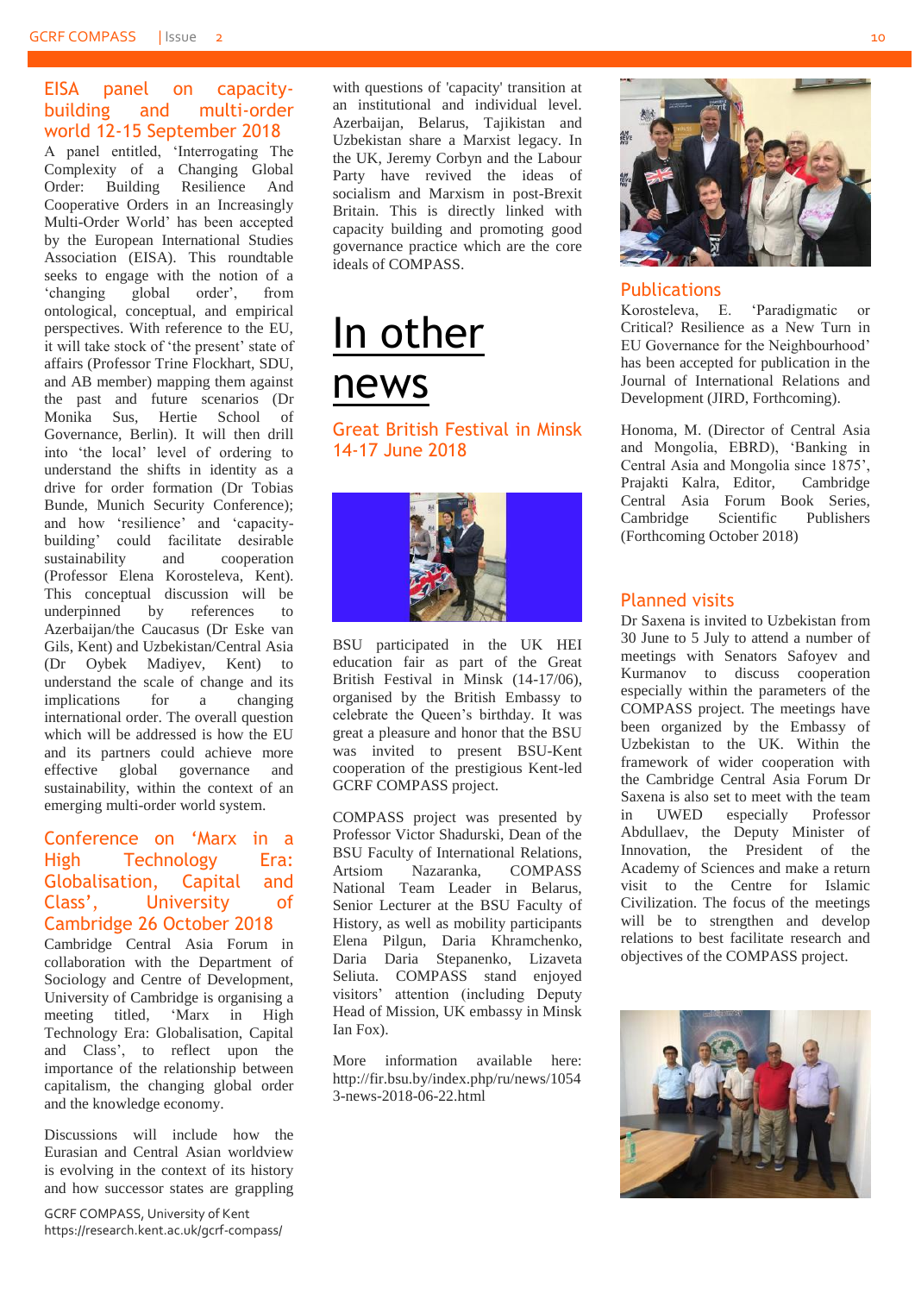#### <span id="page-9-0"></span>EISA panel on capacitybuilding and multi-order world 12-15 September 2018

A panel entitled, 'Interrogating The Complexity of a Changing Global Order: Building Resilience And Cooperative Orders in an Increasingly Multi-Order World' has been accepted by the European International Studies Association (EISA). This roundtable seeks to engage with the notion of a 'changing global order', from ontological, conceptual, and empirical perspectives. With reference to the EU, it will take stock of 'the present' state of affairs (Professor Trine Flockhart, SDU, and AB member) mapping them against the past and future scenarios (Dr Monika Sus, Hertie School of Governance, Berlin). It will then drill into 'the local' level of ordering to understand the shifts in identity as a drive for order formation (Dr Tobias Bunde, Munich Security Conference); and how 'resilience' and 'capacitybuilding' could facilitate desirable sustainability and cooperation (Professor Elena Korosteleva, Kent). This conceptual discussion will be underpinned by references to Azerbaijan/the Caucasus (Dr Eske van Gils, Kent) and Uzbekistan/Central Asia (Dr Oybek Madiyev, Kent) to understand the scale of change and its implications for a changing international order. The overall question which will be addressed is how the EU and its partners could achieve more effective global governance and sustainability, within the context of an emerging multi-order world system.

#### <span id="page-9-1"></span>Conference on 'Marx in a High Technology Era: Globalisation, Capital and Class', University of Cambridge 26 October 2018

Cambridge Central Asia Forum in collaboration with the Department of Sociology and Centre of Development, University of Cambridge is organising a meeting titled, 'Marx in High Technology Era: Globalisation, Capital and Class', to reflect upon the importance of the relationship between capitalism, the changing global order and the knowledge economy.

Discussions will include how the Eurasian and Central Asian worldview is evolving in the context of its history and how successor states are grappling with questions of 'capacity' transition at an institutional and individual level. Azerbaijan, Belarus, Tajikistan and Uzbekistan share a Marxist legacy. In the UK, Jeremy Corbyn and the Labour Party have revived the ideas of socialism and Marxism in post-Brexit Britain. This is directly linked with capacity building and promoting good governance practice which are the core ideals of COMPASS.

# <span id="page-9-2"></span>In other news

#### <span id="page-9-3"></span>Great British Festival in Minsk 14-17 June 2018



BSU participated in the UK HEI education fair as part of the Great British Festival in Minsk (14-17/06), organised by the British Embassy to celebrate the Queen's birthday. It was great a pleasure and honor that the BSU was invited to present BSU-Kent cooperation of the prestigious Kent-led GCRF COMPASS project.

COMPASS project was presented by Professor Victor Shadurski, Dean of the BSU Faculty of International Relations, Artsiom Nazaranka, COMPASS National Team Leader in Belarus, Senior Lecturer at the BSU Faculty of History, as well as mobility participants Elena Pilgun, Daria Khramchenko, Daria Daria Stepanenko, Lizaveta Seliuta. COMPASS stand enjoyed visitors' attention (including Deputy Head of Mission, UK embassy in Minsk Ian Fox).

More information available here: [http://fir.bsu.by/index.php/ru/news/1054](http://fir.bsu.by/index.php/ru/news/10543-news-2018-06-22.html) [3-news-2018-06-22.html](http://fir.bsu.by/index.php/ru/news/10543-news-2018-06-22.html)



#### <span id="page-9-4"></span>Publications

Korosteleva, E. 'Paradigmatic or Critical? Resilience as a New Turn in EU Governance for the Neighbourhood' has been accepted for publication in the Journal of International Relations and Development (JIRD, Forthcoming).

Honoma, M. (Director of Central Asia and Mongolia, EBRD), 'Banking in Central Asia and Mongolia since 1875', Prajakti Kalra, Editor, Cambridge Central Asia Forum Book Series, Cambridge Scientific Publishers (Forthcoming October 2018)

#### <span id="page-9-5"></span>Planned visits

Dr Saxena is invited to Uzbekistan from 30 June to 5 July to attend a number of meetings with Senators Safoyev and Kurmanov to discuss cooperation especially within the parameters of the COMPASS project. The meetings have been organized by the Embassy of Uzbekistan to the UK. Within the framework of wider cooperation with the Cambridge Central Asia Forum Dr Saxena is also set to meet with the team in UWED especially Professor Abdullaev, the Deputy Minister of Innovation, the President of the Academy of Sciences and make a return visit to the Centre for Islamic Civilization. The focus of the meetings will be to strengthen and develop relations to best facilitate research and objectives of the COMPASS project.